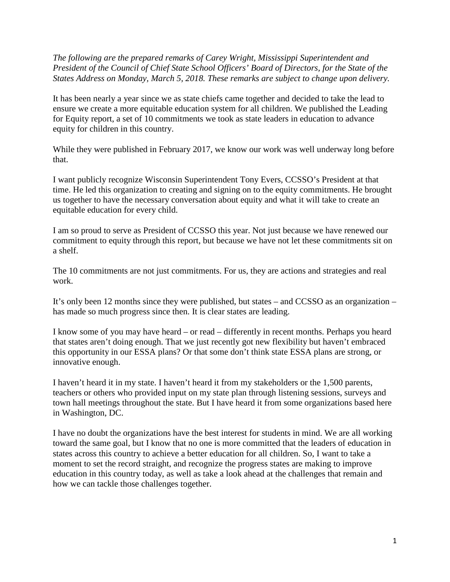*The following are the prepared remarks of Carey Wright, Mississippi Superintendent and President of the Council of Chief State School Officers' Board of Directors, for the State of the States Address on Monday, March 5, 2018. These remarks are subject to change upon delivery.* 

It has been nearly a year since we as state chiefs came together and decided to take the lead to ensure we create a more equitable education system for all children. We published the Leading for Equity report, a set of 10 commitments we took as state leaders in education to advance equity for children in this country.

While they were published in February 2017, we know our work was well underway long before that.

I want publicly recognize Wisconsin Superintendent Tony Evers, CCSSO's President at that time. He led this organization to creating and signing on to the equity commitments. He brought us together to have the necessary conversation about equity and what it will take to create an equitable education for every child.

I am so proud to serve as President of CCSSO this year. Not just because we have renewed our commitment to equity through this report, but because we have not let these commitments sit on a shelf.

The 10 commitments are not just commitments. For us, they are actions and strategies and real work.

It's only been 12 months since they were published, but states – and CCSSO as an organization – has made so much progress since then. It is clear states are leading.

I know some of you may have heard – or read – differently in recent months. Perhaps you heard that states aren't doing enough. That we just recently got new flexibility but haven't embraced this opportunity in our ESSA plans? Or that some don't think state ESSA plans are strong, or innovative enough.

I haven't heard it in my state. I haven't heard it from my stakeholders or the 1,500 parents, teachers or others who provided input on my state plan through listening sessions, surveys and town hall meetings throughout the state. But I have heard it from some organizations based here in Washington, DC.

I have no doubt the organizations have the best interest for students in mind. We are all working toward the same goal, but I know that no one is more committed that the leaders of education in states across this country to achieve a better education for all children. So, I want to take a moment to set the record straight, and recognize the progress states are making to improve education in this country today, as well as take a look ahead at the challenges that remain and how we can tackle those challenges together.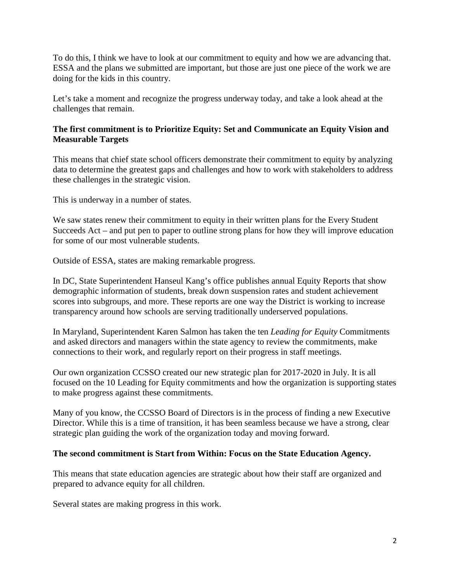To do this, I think we have to look at our commitment to equity and how we are advancing that. ESSA and the plans we submitted are important, but those are just one piece of the work we are doing for the kids in this country.

Let's take a moment and recognize the progress underway today, and take a look ahead at the challenges that remain.

# **The first commitment is to Prioritize Equity: Set and Communicate an Equity Vision and Measurable Targets**

This means that chief state school officers demonstrate their commitment to equity by analyzing data to determine the greatest gaps and challenges and how to work with stakeholders to address these challenges in the strategic vision.

This is underway in a number of states.

We saw states renew their commitment to equity in their written plans for the Every Student Succeeds Act – and put pen to paper to outline strong plans for how they will improve education for some of our most vulnerable students.

Outside of ESSA, states are making remarkable progress.

In DC, State Superintendent Hanseul Kang's office publishes annual Equity Reports that show demographic information of students, break down suspension rates and student achievement scores into subgroups, and more. These reports are one way the District is working to increase transparency around how schools are serving traditionally underserved populations.

In Maryland, Superintendent Karen Salmon has taken the ten *Leading for Equity* Commitments and asked directors and managers within the state agency to review the commitments, make connections to their work, and regularly report on their progress in staff meetings.

Our own organization CCSSO created our new strategic plan for 2017-2020 in July. It is all focused on the 10 Leading for Equity commitments and how the organization is supporting states to make progress against these commitments.

Many of you know, the CCSSO Board of Directors is in the process of finding a new Executive Director. While this is a time of transition, it has been seamless because we have a strong, clear strategic plan guiding the work of the organization today and moving forward.

# **The second commitment is Start from Within: Focus on the State Education Agency.**

This means that state education agencies are strategic about how their staff are organized and prepared to advance equity for all children.

Several states are making progress in this work.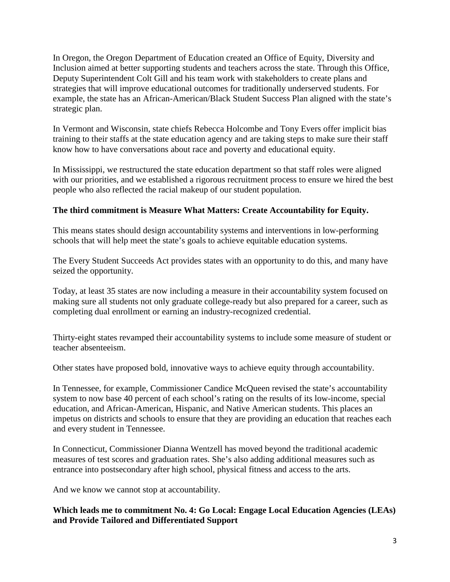In Oregon, the Oregon Department of Education created an Office of Equity, Diversity and Inclusion aimed at better supporting students and teachers across the state. Through this Office, Deputy Superintendent Colt Gill and his team work with stakeholders to create plans and strategies that will improve educational outcomes for traditionally underserved students. For example, the state has an African-American/Black Student Success Plan aligned with the state's strategic plan.

In Vermont and Wisconsin, state chiefs Rebecca Holcombe and Tony Evers offer implicit bias training to their staffs at the state education agency and are taking steps to make sure their staff know how to have conversations about race and poverty and educational equity.

In Mississippi, we restructured the state education department so that staff roles were aligned with our priorities, and we established a rigorous recruitment process to ensure we hired the best people who also reflected the racial makeup of our student population.

# **The third commitment is Measure What Matters: Create Accountability for Equity.**

This means states should design accountability systems and interventions in low-performing schools that will help meet the state's goals to achieve equitable education systems.

The Every Student Succeeds Act provides states with an opportunity to do this, and many have seized the opportunity.

Today, at least 35 states are now including a measure in their accountability system focused on making sure all students not only graduate college-ready but also prepared for a career, such as completing dual enrollment or earning an industry-recognized credential.

Thirty-eight states revamped their accountability systems to include some measure of student or teacher absenteeism.

Other states have proposed bold, innovative ways to achieve equity through accountability.

In Tennessee, for example, Commissioner Candice McQueen revised the state's accountability system to now base 40 percent of each school's rating on the results of its low-income, special education, and African-American, Hispanic, and Native American students. This places an impetus on districts and schools to ensure that they are providing an education that reaches each and every student in Tennessee.

In Connecticut, Commissioner Dianna Wentzell has moved beyond the traditional academic measures of test scores and graduation rates. She's also adding additional measures such as entrance into postsecondary after high school, physical fitness and access to the arts.

And we know we cannot stop at accountability.

# **Which leads me to commitment No. 4: Go Local: Engage Local Education Agencies (LEAs) and Provide Tailored and Differentiated Support**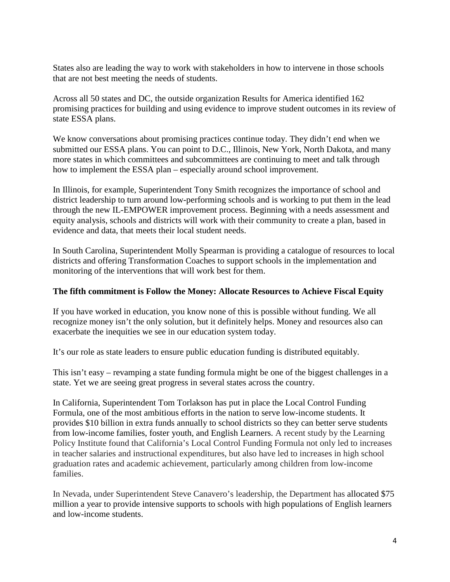States also are leading the way to work with stakeholders in how to intervene in those schools that are not best meeting the needs of students.

Across all 50 states and DC, the outside organization Results for America identified 162 promising practices for building and using evidence to improve student outcomes in its review of state ESSA plans.

We know conversations about promising practices continue today. They didn't end when we submitted our ESSA plans. You can point to D.C., Illinois, New York, North Dakota, and many more states in which committees and subcommittees are continuing to meet and talk through how to implement the ESSA plan – especially around school improvement.

In Illinois, for example, Superintendent Tony Smith recognizes the importance of school and district leadership to turn around low-performing schools and is working to put them in the lead through the new IL-EMPOWER improvement process. Beginning with a needs assessment and equity analysis, schools and districts will work with their community to create a plan, based in evidence and data, that meets their local student needs.

In South Carolina, Superintendent Molly Spearman is providing a catalogue of resources to local districts and offering Transformation Coaches to support schools in the implementation and monitoring of the interventions that will work best for them.

#### **The fifth commitment is Follow the Money: Allocate Resources to Achieve Fiscal Equity**

If you have worked in education, you know none of this is possible without funding. We all recognize money isn't the only solution, but it definitely helps. Money and resources also can exacerbate the inequities we see in our education system today.

It's our role as state leaders to ensure public education funding is distributed equitably.

This isn't easy – revamping a state funding formula might be one of the biggest challenges in a state. Yet we are seeing great progress in several states across the country.

In California, Superintendent Tom Torlakson has put in place the Local Control Funding Formula, one of the most ambitious efforts in the nation to serve low-income students. It provides \$10 billion in extra funds annually to school districts so they can better serve students from low-income families, foster youth, and English Learners. A recent study by the Learning Policy Institute found that California's Local Control Funding Formula not only led to increases in teacher salaries and instructional expenditures, but also have led to increases in high school graduation rates and academic achievement, particularly among children from low-income families.

In Nevada, under Superintendent Steve Canavero's leadership, the Department has allocated \$75 million a year to provide intensive supports to schools with high populations of English learners and low-income students.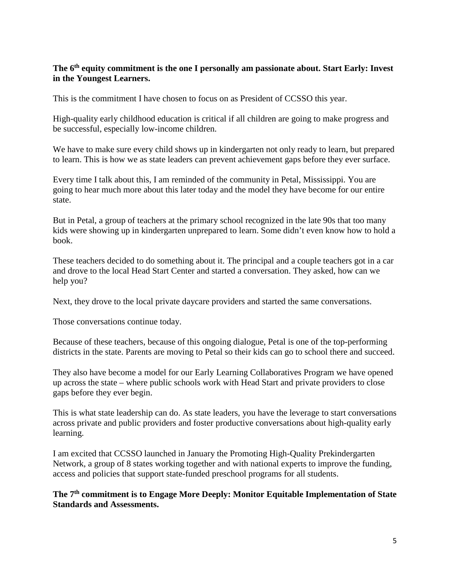# **The 6th equity commitment is the one I personally am passionate about. Start Early: Invest in the Youngest Learners.**

This is the commitment I have chosen to focus on as President of CCSSO this year.

High-quality early childhood education is critical if all children are going to make progress and be successful, especially low-income children.

We have to make sure every child shows up in kindergarten not only ready to learn, but prepared to learn. This is how we as state leaders can prevent achievement gaps before they ever surface.

Every time I talk about this, I am reminded of the community in Petal, Mississippi. You are going to hear much more about this later today and the model they have become for our entire state.

But in Petal, a group of teachers at the primary school recognized in the late 90s that too many kids were showing up in kindergarten unprepared to learn. Some didn't even know how to hold a book.

These teachers decided to do something about it. The principal and a couple teachers got in a car and drove to the local Head Start Center and started a conversation. They asked, how can we help you?

Next, they drove to the local private daycare providers and started the same conversations.

Those conversations continue today.

Because of these teachers, because of this ongoing dialogue, Petal is one of the top-performing districts in the state. Parents are moving to Petal so their kids can go to school there and succeed.

They also have become a model for our Early Learning Collaboratives Program we have opened up across the state – where public schools work with Head Start and private providers to close gaps before they ever begin.

This is what state leadership can do. As state leaders, you have the leverage to start conversations across private and public providers and foster productive conversations about high-quality early learning.

I am excited that CCSSO launched in January the Promoting High-Quality Prekindergarten Network, a group of 8 states working together and with national experts to improve the funding, access and policies that support state-funded preschool programs for all students.

**The 7th commitment is to Engage More Deeply: Monitor Equitable Implementation of State Standards and Assessments.**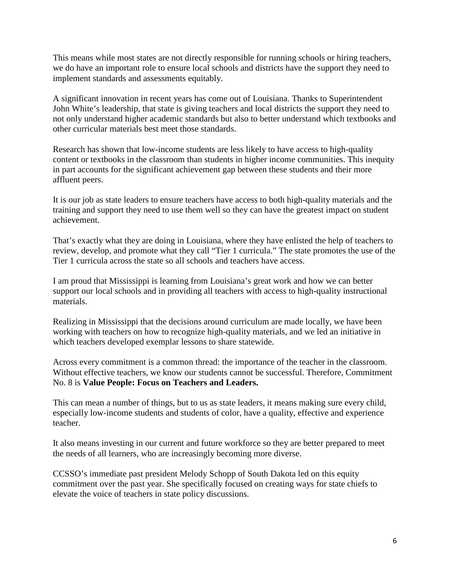This means while most states are not directly responsible for running schools or hiring teachers, we do have an important role to ensure local schools and districts have the support they need to implement standards and assessments equitably.

A significant innovation in recent years has come out of Louisiana. Thanks to Superintendent John White's leadership, that state is giving teachers and local districts the support they need to not only understand higher academic standards but also to better understand which textbooks and other curricular materials best meet those standards.

Research has shown that low-income students are less likely to have access to high-quality content or textbooks in the classroom than students in higher income communities. This inequity in part accounts for the significant achievement gap between these students and their more affluent peers.

It is our job as state leaders to ensure teachers have access to both high-quality materials and the training and support they need to use them well so they can have the greatest impact on student achievement.

That's exactly what they are doing in Louisiana, where they have enlisted the help of teachers to review, develop, and promote what they call "Tier 1 curricula." The state promotes the use of the Tier 1 curricula across the state so all schools and teachers have access.

I am proud that Mississippi is learning from Louisiana's great work and how we can better support our local schools and in providing all teachers with access to high-quality instructional materials.

Realizing in Mississippi that the decisions around curriculum are made locally, we have been working with teachers on how to recognize high-quality materials, and we led an initiative in which teachers developed exemplar lessons to share statewide.

Across every commitment is a common thread: the importance of the teacher in the classroom. Without effective teachers, we know our students cannot be successful. Therefore, Commitment No. 8 is **Value People: Focus on Teachers and Leaders.** 

This can mean a number of things, but to us as state leaders, it means making sure every child, especially low-income students and students of color, have a quality, effective and experience teacher.

It also means investing in our current and future workforce so they are better prepared to meet the needs of all learners, who are increasingly becoming more diverse.

CCSSO's immediate past president Melody Schopp of South Dakota led on this equity commitment over the past year. She specifically focused on creating ways for state chiefs to elevate the voice of teachers in state policy discussions.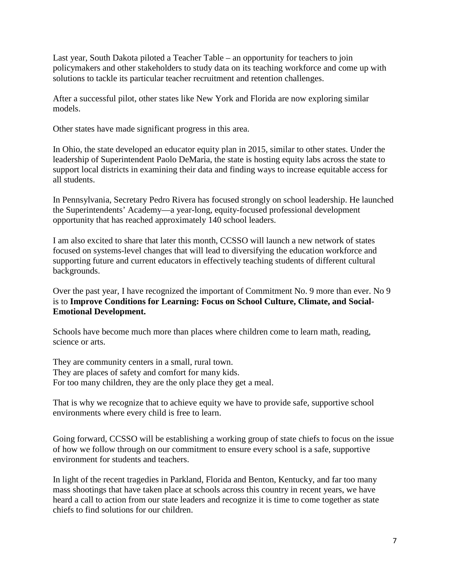Last year, South Dakota piloted a Teacher Table – an opportunity for teachers to join policymakers and other stakeholders to study data on its teaching workforce and come up with solutions to tackle its particular teacher recruitment and retention challenges.

After a successful pilot, other states like New York and Florida are now exploring similar models.

Other states have made significant progress in this area.

In Ohio, the state developed an educator equity plan in 2015, similar to other states. Under the leadership of Superintendent Paolo DeMaria, the state is hosting equity labs across the state to support local districts in examining their data and finding ways to increase equitable access for all students.

In Pennsylvania, Secretary Pedro Rivera has focused strongly on school leadership. He launched the Superintendents' Academy—a year-long, equity-focused professional development opportunity that has reached approximately 140 school leaders.

I am also excited to share that later this month, CCSSO will launch a new network of states focused on systems-level changes that will lead to diversifying the education workforce and supporting future and current educators in effectively teaching students of different cultural backgrounds.

Over the past year, I have recognized the important of Commitment No. 9 more than ever. No 9 is to **Improve Conditions for Learning: Focus on School Culture, Climate, and Social-Emotional Development.** 

Schools have become much more than places where children come to learn math, reading, science or arts.

They are community centers in a small, rural town. They are places of safety and comfort for many kids. For too many children, they are the only place they get a meal.

That is why we recognize that to achieve equity we have to provide safe, supportive school environments where every child is free to learn.

Going forward, CCSSO will be establishing a working group of state chiefs to focus on the issue of how we follow through on our commitment to ensure every school is a safe, supportive environment for students and teachers.

In light of the recent tragedies in Parkland, Florida and Benton, Kentucky, and far too many mass shootings that have taken place at schools across this country in recent years, we have heard a call to action from our state leaders and recognize it is time to come together as state chiefs to find solutions for our children.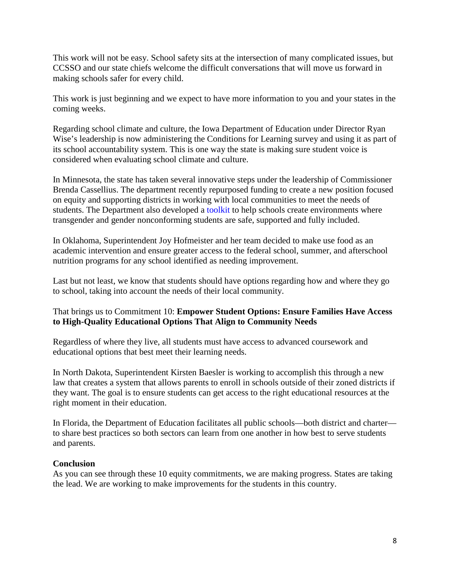This work will not be easy. School safety sits at the intersection of many complicated issues, but CCSSO and our state chiefs welcome the difficult conversations that will move us forward in making schools safer for every child.

This work is just beginning and we expect to have more information to you and your states in the coming weeks.

Regarding school climate and culture, the Iowa Department of Education under Director Ryan Wise's leadership is now administering the Conditions for Learning survey and using it as part of its school accountability system. This is one way the state is making sure student voice is considered when evaluating school climate and culture.

In Minnesota, the state has taken several innovative steps under the leadership of Commissioner Brenda Cassellius. The department recently repurposed funding to create a new position focused on equity and supporting districts in working with local communities to meet the needs of students. The Department also developed a toolkit to help schools create environments where transgender and gender nonconforming students are safe, supported and fully included.

In Oklahoma, Superintendent Joy Hofmeister and her team decided to make use food as an academic intervention and ensure greater access to the federal school, summer, and afterschool nutrition programs for any school identified as needing improvement.

Last but not least, we know that students should have options regarding how and where they go to school, taking into account the needs of their local community.

# That brings us to Commitment 10: **Empower Student Options: Ensure Families Have Access to High-Quality Educational Options That Align to Community Needs**

Regardless of where they live, all students must have access to advanced coursework and educational options that best meet their learning needs.

In North Dakota, Superintendent Kirsten Baesler is working to accomplish this through a new law that creates a system that allows parents to enroll in schools outside of their zoned districts if they want. The goal is to ensure students can get access to the right educational resources at the right moment in their education.

In Florida, the Department of Education facilitates all public schools—both district and charter to share best practices so both sectors can learn from one another in how best to serve students and parents.

# **Conclusion**

As you can see through these 10 equity commitments, we are making progress. States are taking the lead. We are working to make improvements for the students in this country.